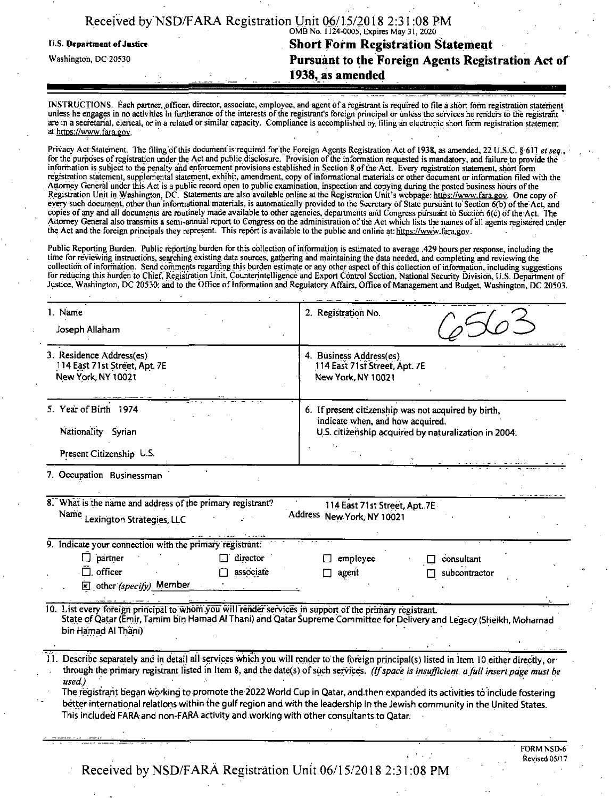|  | Received by NSD/FARA Registration Unit 06/15/2018 2:31:08 PM |  |                                         |  |
|--|--------------------------------------------------------------|--|-----------------------------------------|--|
|  |                                                              |  | OMB No. 1124-0005; Expires May 31, 2020 |  |

## n.s. Department ofjustice **Short Form Registration Statement Washington, dc** <sup>20530</sup> **Pursuant to the Foreign Agents Registration Act of**

**. 1938, as amended**

INSTRUCTIONS. Each partner, officer, director, associate, employee, and agent of a registrant is required to file a short form registration statement unless he engages in no activities in furtherance ofthe interests ofthe registrant's foreign principal or unless the services he renders to the registrant " are in a secretarial, clerical, or in a related or similar capacity. Compliance is accomplished by filing an electronic short form registration statement at https://www.fara.gov.

Received by NSD/FARA Registration Unit 06/15/2018 2:31:08 PM<br>
U.S. Department of Justice<br>
U.S. Department of Justice<br>
Washington, DC 20530<br>
Washington, DC 20530<br>
Pursuant to the Foreign Agents Registration<br>
Washington, DC Privacy Act Statement. The filing ofthis document isrequired for the Foreign Agents Registration Act of 1938, as amended, 22 U.S.C. §611 *etseq.,* for the purposes of registration under the Act and public disclosure. Provision of the information requested is mandatory, and failure to provide the information is subject to the penalty and enforcement provisions established in Section 8.ofthe Act. Every registration statement, short form registration statement, supplemental statement, exhibit, amendment, copy ofinformational materials or other document or information filed with the Attorney General under this Act is a public record open to public examination, inspection and copying during the posted business hours ofthe Registration Unit in Washington, DC. Statements are also available online at the Registration Unit's webpage: https://www.fara.gov. One copy of every such document, other than informational materials, is automatically provided to the Secretary of State pursuant to'Section 6(b) ofthe Act, and copies of any and all documents are routinely made available to other agencies, departments and Congress pursuant to Section 6(c) of the Act. The Attorney General also transmits a semi-annual report to Congress on the administration of the Act which lists the names of all agents registered under the Act and the foreign principals they represent. This report is available to the public and online at: https://www.fara.gov.

Public Reporting Burden. Public reporting burden for this collection of information is estimated to average .429 hours per response, including the time for reviewing instructions, searching existing data sources, gathering and maintaining the data needed, and completing and reviewing the collection ofinformation. Send comments regarding this burden estimate or any other aspect ofthis collection ofinformation, including suggestions for reducing this burden to Chief, Registration Unit, Counterintelligence and Export Control Section, National Security Division, U.S. Department of Justice, Washington, DC 20530; and to the Office ofinformation and Regulatory Affairs, Office of Management and Budget, Washington, DC 20503.

| 1. Name<br>Joseph Allaham                                                                                                                                   | 2. Registration No.                                                                                                                                                                                                                                                                                                                                                                                                                                                                                                                                           |
|-------------------------------------------------------------------------------------------------------------------------------------------------------------|---------------------------------------------------------------------------------------------------------------------------------------------------------------------------------------------------------------------------------------------------------------------------------------------------------------------------------------------------------------------------------------------------------------------------------------------------------------------------------------------------------------------------------------------------------------|
| 3. Residence Address(es)<br>114 East 71st Street, Apt. 7E<br>New York, NY 10021                                                                             | 4. Business Address(es)<br>114 East 71st Street, Apt. 7E<br>New York, NY 10021                                                                                                                                                                                                                                                                                                                                                                                                                                                                                |
| 5. Year of Birth 1974<br>Nationality Syrian<br>Present Citizenship U.S.                                                                                     | 6. If present citizenship was not acquired by birth,<br>indicate when, and how acquired.<br>U.S. citizenship acquired by naturalization in 2004.                                                                                                                                                                                                                                                                                                                                                                                                              |
| 7. Occupation Businessman                                                                                                                                   |                                                                                                                                                                                                                                                                                                                                                                                                                                                                                                                                                               |
| 8. What is the name and address of the primary registrant?<br>Name Lexington Strategies, LLC                                                                | 114 East 71st Street, Apt. 7E<br>Address New York, NY 10021                                                                                                                                                                                                                                                                                                                                                                                                                                                                                                   |
| 9. Indicate your connection with the primary registrant:<br>П.<br>partner<br>director<br>$\Box$ officer<br>associate<br>$\mathbf{X}$ other (specify) Member | employee<br>consultant<br>agent<br>subcontractor                                                                                                                                                                                                                                                                                                                                                                                                                                                                                                              |
| 10. List every foreign principal to whom you will render services in support of the primary registrant.<br>bin Hamad Al Thani)                              | State of Qatar (Emir, Tamim bin Hamad Al Thani) and Qatar Supreme Committee for Delivery and Legacy (Sheikh, Mohamad                                                                                                                                                                                                                                                                                                                                                                                                                                          |
| used.)<br>This included FARA and non-FARA activity and working with other consultants to Qatar.                                                             | Describe separately and in detail all services which you will render to the foreign principal(s) listed in Item 10 either directly, or<br>through the primary registrant listed in Item 8, and the date(s) of such services. (If space is insufficient, a full insert page must be<br>The registrant began working to promote the 2022 World Cup in Qatar, and then expanded its activities to include fostering<br>better international relations within the gulf region and with the leadership in the Jewish community in the United States.<br>FORM NSD-6 |
|                                                                                                                                                             | Revised 05/17                                                                                                                                                                                                                                                                                                                                                                                                                                                                                                                                                 |

Received by NSD/FARA Registration Unit 06/15/2018 2:31:08 PM